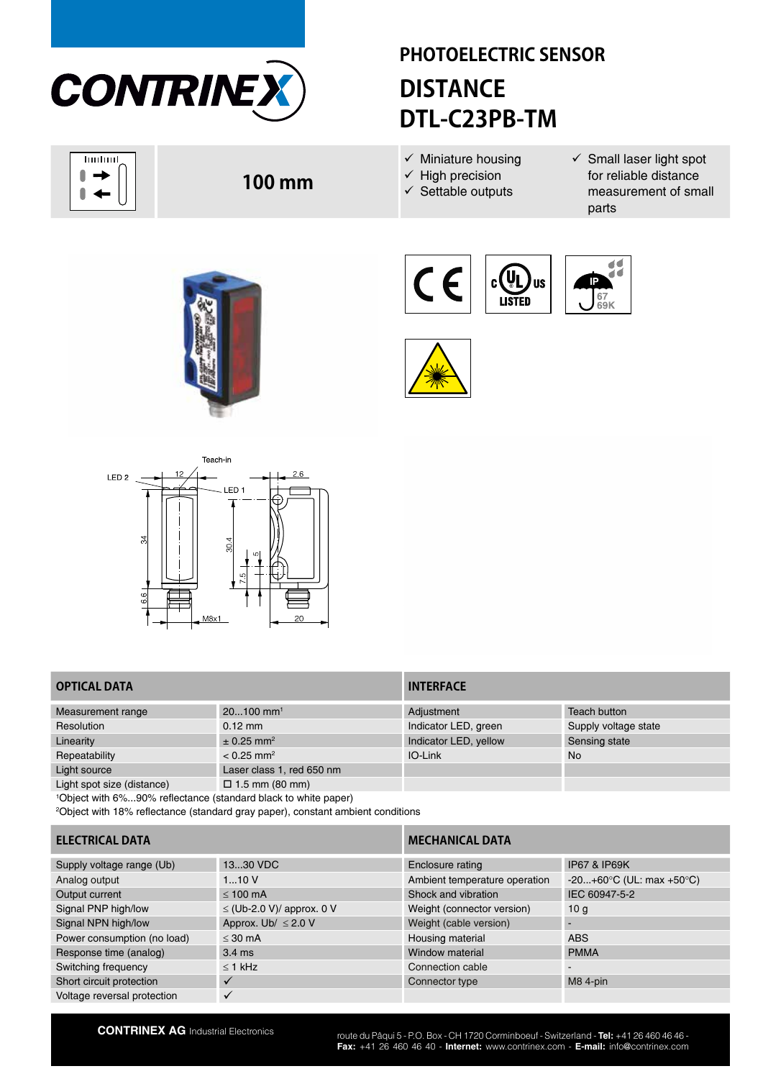

huduul N  $\overline{\phantom{a}}$  $\blacktriangleleft$ 

# **PHOTOELECTRIC SENSOR DISTANCE DTL-C23PB-TM**

- $\checkmark$  Miniature housing
- $\checkmark$  High precision
- $\checkmark$  Settable outputs
- $\checkmark$  Small laser light spot for reliable distance measurement of small parts



**100 mm**







# **OPTICAL DATA INTERFACE**

| Measurement range          | $20100$ mm <sup>1</sup>    | Adjustment            | Teach button         |
|----------------------------|----------------------------|-----------------------|----------------------|
| Resolution                 | $0.12 \text{ mm}$          | Indicator LED, green  | Supply voltage state |
| Linearity                  | $\pm$ 0.25 mm <sup>2</sup> | Indicator LED, yellow | Sensing state        |
| Repeatability              | $< 0.25$ mm <sup>2</sup>   | IO-Link               | <b>No</b>            |
| Light source               | Laser class 1, red 650 nm  |                       |                      |
| Light spot size (distance) | $\Box$ 1.5 mm (80 mm)      |                       |                      |

1 Object with 6%...90% reflectance (standard black to white paper)

2 Object with 18% reflectance (standard gray paper), constant ambient conditions

# **ELECTRICAL DATA** *MECHANICAL DATA*

| Supply voltage range (Ub)   | 1330 VDC                       | Enclosure rating              | <b>IP67 &amp; IP69K</b>                      |
|-----------------------------|--------------------------------|-------------------------------|----------------------------------------------|
| Analog output               | 110V                           | Ambient temperature operation | $-20+60^{\circ}C$ (UL: max +50 $^{\circ}C$ ) |
| Output current              | $\leq 100$ mA                  | Shock and vibration           | IEC 60947-5-2                                |
| Signal PNP high/low         | $\leq$ (Ub-2.0 V)/ approx. 0 V | Weight (connector version)    | 10 a                                         |
| Signal NPN high/low         | Approx. Ub/ $\leq$ 2.0 V       | Weight (cable version)        |                                              |
| Power consumption (no load) | $\leq$ 30 mA                   | Housing material              | <b>ABS</b>                                   |
| Response time (analog)      | $3.4 \text{ ms}$               | Window material               | <b>PMMA</b>                                  |
| Switching frequency         | $\leq$ 1 kHz                   | Connection cable              | $\overline{\phantom{0}}$                     |
| Short circuit protection    |                                | Connector type                | M8 4-pin                                     |
| Voltage reversal protection |                                |                               |                                              |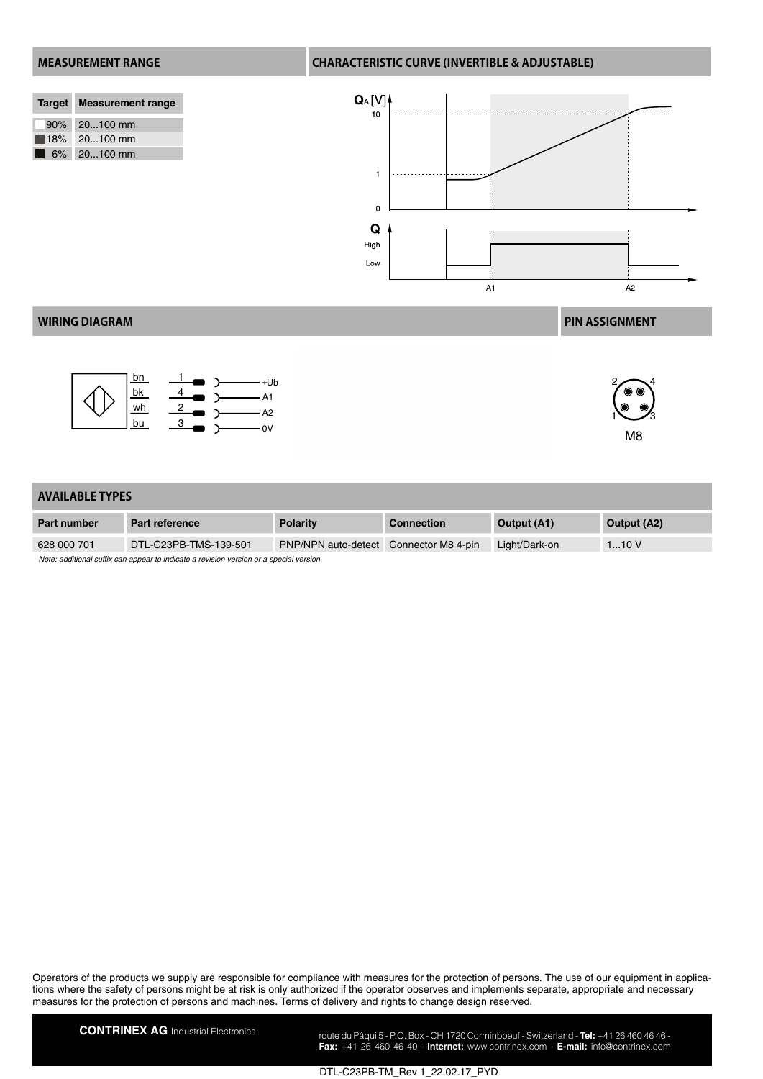| Target Measurement range   |
|----------------------------|
|                            |
| 90% 20100 mm               |
|                            |
| $18\%$ 20100 mm            |
|                            |
|                            |
| $\blacksquare$ 6% 20100 mm |

### **MEASUREMENT RANGE CHARACTERISTIC CURVE (INVERTIBLE & ADJUSTABLE)**



## **WIRING DIAGRAM PIN ASSIGNMENT**





M8

 $1\overset{\circ}{\smile} \mathscr{S}_3$ 

### **AVAILABLE TYPES**

| <b>Part number</b>                                                                      | Part reference        | <b>Polarity</b>                               | <b>Connection</b> | Output (A1)   | Output (A2) |  |
|-----------------------------------------------------------------------------------------|-----------------------|-----------------------------------------------|-------------------|---------------|-------------|--|
| 628 000 701                                                                             | DTL-C23PB-TMS-139-501 | <b>PNP/NPN auto-detect</b> Connector M8 4-pin |                   | Light/Dark-on | 110V        |  |
| Note: additional suffix can appear to indicate a revision version or a special version. |                       |                                               |                   |               |             |  |

Operators of the products we supply are responsible for compliance with measures for the protection of persons. The use of our equipment in applications where the safety of persons might be at risk is only authorized if the operator observes and implements separate, appropriate and necessary measures for the protection of persons and machines. Terms of delivery and rights to change design reserved.

**CONTRINEX AG** Industrial Electronics route du Pâqui 5 - P.O. Box - CH 1720 Corminboeuf - Switzerland - **Tel:** +41 26 460 46 46 -**Fax:** +41 26 460 46 40 - **Internet:** www.contrinex.com - **E-mail:** info@contrinex.com

DTL-C23PB-TM\_Rev 1\_22.02.17\_PYD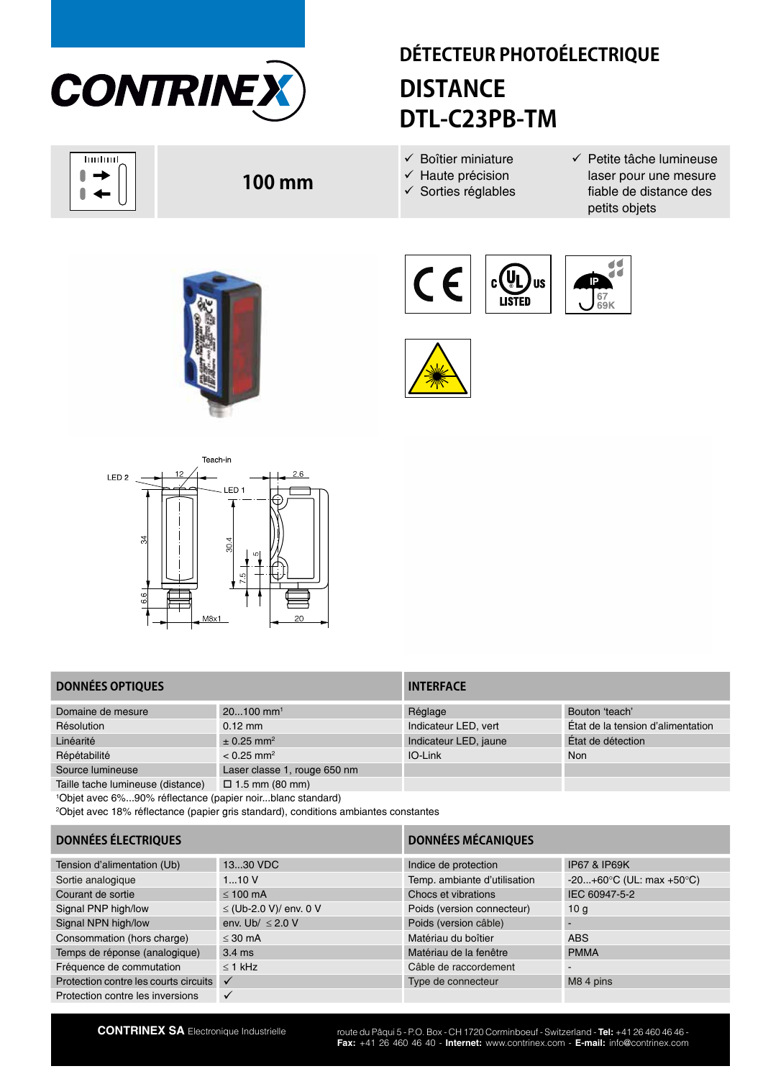

huduul 0  $\overline{\phantom{a}}$  $\blacktriangleleft$ 

# **DÉTECTEUR PHOTOÉLECTRIQUE DISTANCE DTL-C23PB-TM**

- $\checkmark$  Boîtier miniature
- $\checkmark$  Haute précision
- $\checkmark$  Sorties réglables
- $\checkmark$  Petite tâche lumineuse laser pour une mesure fiable de distance des petits objets



**100 mm**







# **DONNÉES OPTIQUES INTERFACE**

| Domaine de mesure                 | $20100$ mm <sup>1</sup>      | Réglage               | Bouton 'teach'                    |
|-----------------------------------|------------------------------|-----------------------|-----------------------------------|
| Résolution                        | $0.12 \text{ mm}$            | Indicateur LED, vert  | État de la tension d'alimentation |
| Linéarité                         | $\pm$ 0.25 mm <sup>2</sup>   | Indicateur LED, jaune | État de détection                 |
| Répétabilité                      | $< 0.25$ mm <sup>2</sup>     | IO-Link               | <b>Non</b>                        |
| Source lumineuse                  | Laser classe 1, rouge 650 nm |                       |                                   |
| Taille tache lumineuse (distance) | $\Box$ 1.5 mm (80 mm)        |                       |                                   |

1 Objet avec 6%...90% réflectance (papier noir...blanc standard)

2 Objet avec 18% réflectance (papier gris standard), conditions ambiantes constantes

# **DONNÉES ÉLECTRIQUES DONNÉES MÉCANIQUES**

| Tension d'alimentation (Ub)           | 1330 VDC               | Indice de protection         | <b>IP67 &amp; IP69K</b>                      |
|---------------------------------------|------------------------|------------------------------|----------------------------------------------|
| Sortie analogique                     | 110V                   | Temp. ambiante d'utilisation | $-20+60^{\circ}C$ (UL: max +50 $^{\circ}C$ ) |
| Courant de sortie                     | $\leq 100$ mA          | Chocs et vibrations          | IEC 60947-5-2                                |
| Signal PNP high/low                   | ≤ (Ub-2.0 V)/ env. 0 V | Poids (version connecteur)   | 10 <sub>q</sub>                              |
| Signal NPN high/low                   | env. Ub/ $\leq$ 2.0 V  | Poids (version câble)        |                                              |
| Consommation (hors charge)            | $<$ 30 mA              | Matériau du boîtier          | <b>ABS</b>                                   |
| Temps de réponse (analogique)         | $3.4 \text{ ms}$       | Matériau de la fenêtre       | <b>PMMA</b>                                  |
| Fréquence de commutation              | $<$ 1 kHz              | Câble de raccordement        | $\tilde{\phantom{a}}$                        |
| Protection contre les courts circuits | $\checkmark$           | Type de connecteur           | M8 4 pins                                    |
| Protection contre les inversions      |                        |                              |                                              |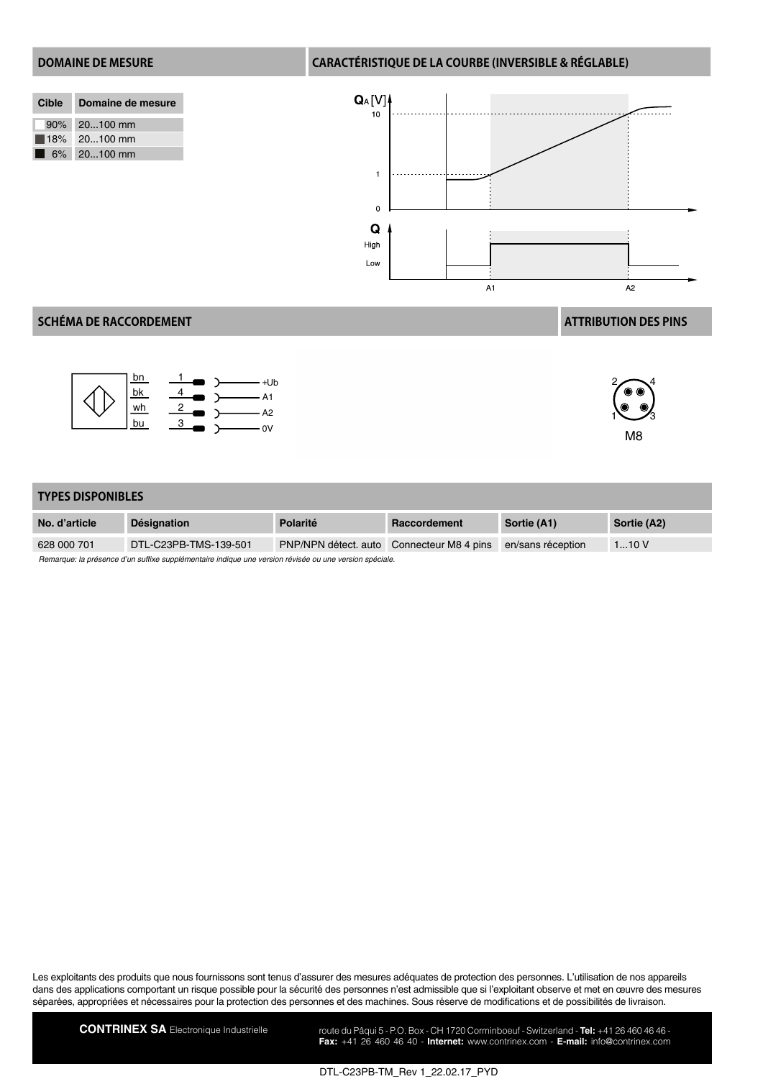### **DOMAINE DE MESURE CARACTÉRISTIQUE DE LA COURBE (INVERSIBLE & RÉGLABLE)**

| Cible | Domaine de mesure |
|-------|-------------------|
|       | 90% 20100 mm      |
|       | $18\%$ 20100 mm   |
| . .   | $6\%$ 20100 mm    |



## **SCHÉMA DE RACCORDEMENT ATTRIBUTION DES PINS**





M8

### **TYPES DISPONIBLES**

| No. d'article                                                                                          | <b>Désignation</b>    | Polarité | Raccordement                              | Sortie (A1)       | Sortie (A2) |  |
|--------------------------------------------------------------------------------------------------------|-----------------------|----------|-------------------------------------------|-------------------|-------------|--|
| 628 000 701                                                                                            | DTL-C23PB-TMS-139-501 |          | PNP/NPN détect. auto Connecteur M8 4 pins | en/sans réception | 110V        |  |
| Remarque: la présence d'un suffixe supplémentaire indique une version révisée ou une version spéciale. |                       |          |                                           |                   |             |  |

Les exploitants des produits que nous fournissons sont tenus d'assurer des mesures adéquates de protection des personnes. L'utilisation de nos appareils dans des applications comportant un risque possible pour la sécurité des personnes n'est admissible que si l'exploitant observe et met en œuvre des mesures séparées, appropriées et nécessaires pour la protection des personnes et des machines. Sous réserve de modifications et de possibilités de livraison.

CONTRINEX SA Electronique Industrielle route du Pâqui 5 - P.O. Box - CH 1720 Corminboeuf - Switzerland - Tel: +41 26 460 46 46 -**Fax:** +41 26 460 46 40 - **Internet:** www.contrinex.com - **E-mail:** info@contrinex.com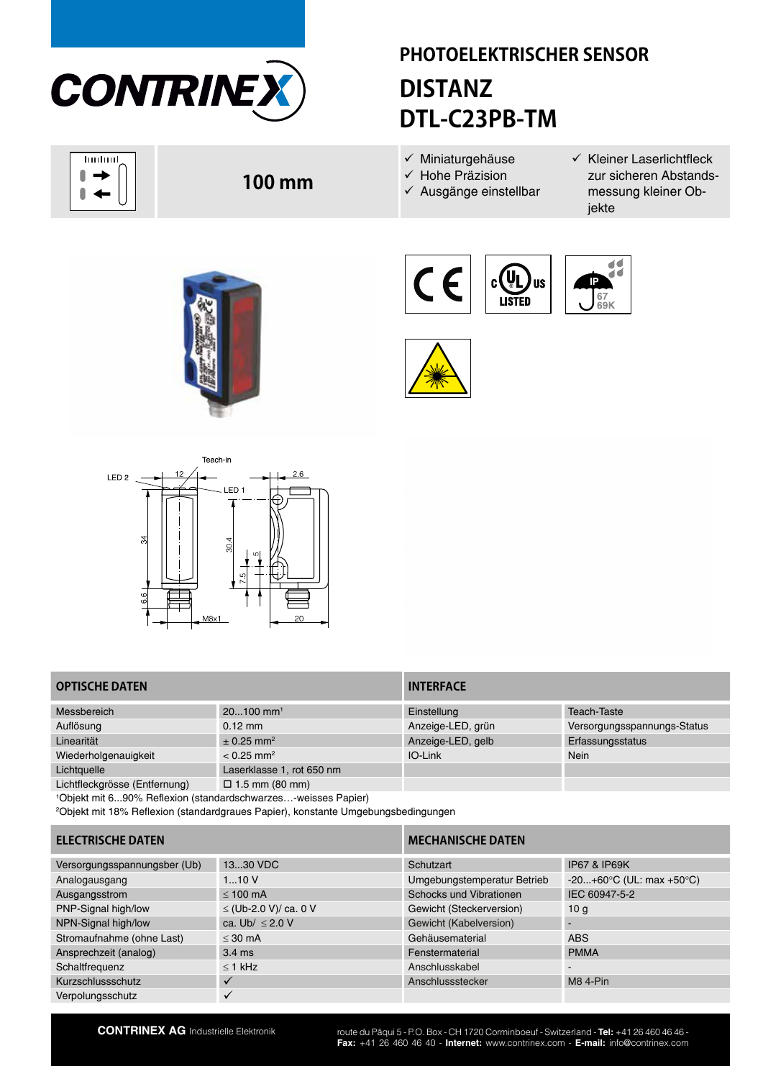

huduul 0  $\overline{\phantom{a}}$  $\blacktriangleleft$ 

# **PHOTOELEKTRISCHER SENSOR DISTANZ DTL-C23PB-TM**

- $\checkmark$  Miniaturgehäuse
- $\checkmark$  Hohe Präzision
- $\checkmark$  Ausgänge einstellbar
- $\checkmark$  Kleiner Laserlichtfleck zur sicheren Abstandsmessung kleiner Objekte



**100 mm**







# **OPTISCHE DATEN INTERFACE**

| Messbereich                   | $20100$ mm <sup>1</sup>    | Einstellung       | Teach-Taste                 |
|-------------------------------|----------------------------|-------------------|-----------------------------|
| Auflösung                     | $0.12 \text{ mm}$          | Anzeige-LED, grün | Versorgungsspannungs-Status |
| Linearität                    | $\pm$ 0.25 mm <sup>2</sup> | Anzeige-LED, gelb | Erfassungsstatus            |
| Wiederholgenauigkeit          | $< 0.25$ mm <sup>2</sup>   | IO-Link           | Nein                        |
| Lichtquelle                   | Laserklasse 1, rot 650 nm  |                   |                             |
| Lichtflockarösse (Entfernung) | $\Box$ 1 5 mm (80 mm)      |                   |                             |

kgrösse (Entfernung) ⊔ 1.5 mm (80 mm)

1 Objekt mit 6...90% Reflexion (standardschwarzes…-weisses Papier)

2 Objekt mit 18% Reflexion (standardgraues Papier), konstante Umgebungsbedingungen

# **ELECTRISCHE DATEN MECHANISCHE DATEN**

| Versorgungsspannungsber (Ub) | 1330 VDC              | Schutzart                   | <b>IP67 &amp; IP69K</b>                      |
|------------------------------|-----------------------|-----------------------------|----------------------------------------------|
| Analogausgang                | 110V                  | Umgebungstemperatur Betrieb | $-20+60^{\circ}C$ (UL: max +50 $^{\circ}C$ ) |
| Ausgangsstrom                | $\leq 100$ mA         | Schocks und Vibrationen     | IEC 60947-5-2                                |
| PNP-Signal high/low          | ≤ (Ub-2.0 V)/ ca. 0 V | Gewicht (Steckerversion)    | 10 <sub>a</sub>                              |
| NPN-Signal high/low          | ca. Ub/ $\leq$ 2.0 V  | Gewicht (Kabelversion)      |                                              |
| Stromaufnahme (ohne Last)    | $<$ 30 mA             | Gehäusematerial             | <b>ABS</b>                                   |
| Ansprechzeit (analog)        | $3.4 \text{ ms}$      | Fenstermaterial             | <b>PMMA</b>                                  |
| Schaltfrequenz               | $\leq$ 1 kHz          | Anschlusskabel              | $\blacksquare$                               |
| Kurzschlussschutz            |                       | Anschlussstecker            | $M8$ 4-Pin                                   |
| Verpolungsschutz             |                       |                             |                                              |